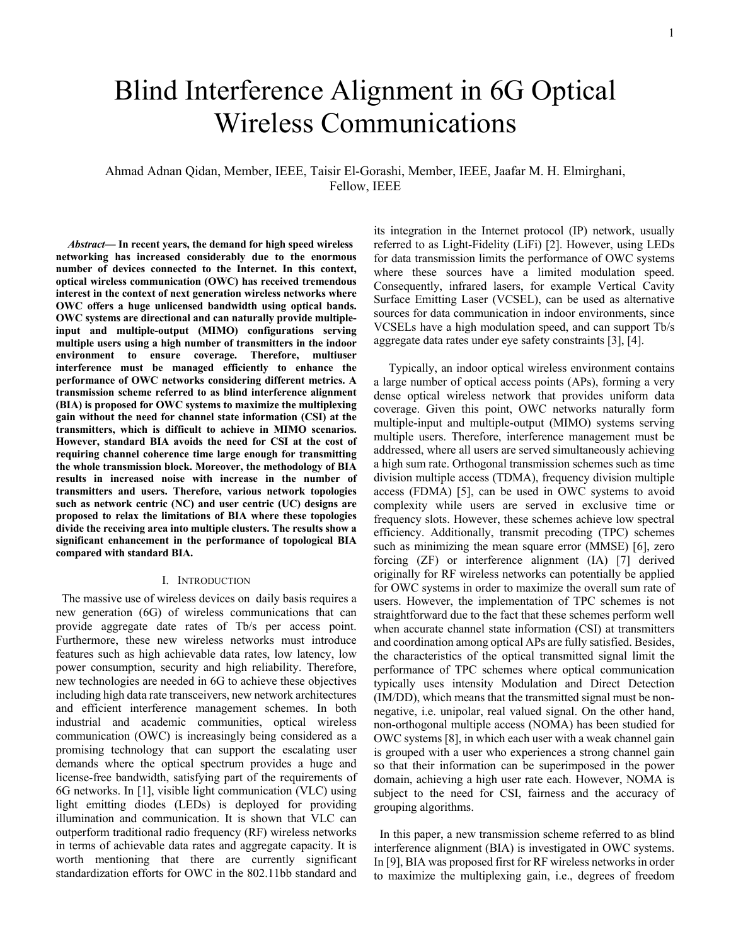1

# Blind Interference Alignment in 6G Optical Wireless Communications

# Ahmad Adnan Qidan, Member, IEEE, Taisir El-Gorashi, Member, IEEE, Jaafar M. H. Elmirghani, Fellow, IEEE

*Abstract***— In recent years, the demand for high speed wireless networking has increased considerably due to the enormous number of devices connected to the Internet. In this context, optical wireless communication (OWC) has received tremendous interest in the context of next generation wireless networks where OWC offers a huge unlicensed bandwidth using optical bands. OWC systems are directional and can naturally provide multipleinput and multiple-output (MIMO) configurations serving multiple users using a high number of transmitters in the indoor environment to ensure coverage. Therefore, multiuser interference must be managed efficiently to enhance the performance of OWC networks considering different metrics. A transmission scheme referred to as blind interference alignment (BIA) is proposed for OWC systems to maximize the multiplexing gain without the need for channel state information (CSI) at the transmitters, which is difficult to achieve in MIMO scenarios. However, standard BIA avoids the need for CSI at the cost of requiring channel coherence time large enough for transmitting the whole transmission block. Moreover, the methodology of BIA results in increased noise with increase in the number of transmitters and users. Therefore, various network topologies such as network centric (NC) and user centric (UC) designs are proposed to relax the limitations of BIA where these topologies divide the receiving area into multiple clusters. The results show a significant enhancement in the performance of topological BIA compared with standard BIA.**

#### I. INTRODUCTION

 The massive use of wireless devices on daily basis requires a new generation (6G) of wireless communications that can provide aggregate date rates of Tb/s per access point. Furthermore, these new wireless networks must introduce features such as high achievable data rates, low latency, low power consumption, security and high reliability. Therefore, new technologies are needed in 6G to achieve these objectives including high data rate transceivers, new network architectures and efficient interference management schemes. In both industrial and academic communities, optical wireless communication (OWC) is increasingly being considered as a promising technology that can support the escalating user demands where the optical spectrum provides a huge and license-free bandwidth, satisfying part of the requirements of 6G networks. In [1], visible light communication (VLC) using light emitting diodes (LEDs) is deployed for providing illumination and communication. It is shown that VLC can outperform traditional radio frequency (RF) wireless networks in terms of achievable data rates and aggregate capacity. It is worth mentioning that there are currently significant standardization efforts for OWC in the 802.11bb standard and its integration in the Internet protocol (IP) network, usually referred to as Light-Fidelity (LiFi) [2]. However, using LEDs for data transmission limits the performance of OWC systems where these sources have a limited modulation speed. Consequently, infrared lasers, for example Vertical Cavity Surface Emitting Laser (VCSEL), can be used as alternative sources for data communication in indoor environments, since VCSELs have a high modulation speed, and can support Tb/s aggregate data rates under eye safety constraints [3], [4].

 Typically, an indoor optical wireless environment contains a large number of optical access points (APs), forming a very dense optical wireless network that provides uniform data coverage. Given this point, OWC networks naturally form multiple-input and multiple-output (MIMO) systems serving multiple users. Therefore, interference management must be addressed, where all users are served simultaneously achieving a high sum rate. Orthogonal transmission schemes such as time division multiple access (TDMA), frequency division multiple access (FDMA) [5], can be used in OWC systems to avoid complexity while users are served in exclusive time or frequency slots. However, these schemes achieve low spectral efficiency. Additionally, transmit precoding (TPC) schemes such as minimizing the mean square error (MMSE) [6], zero forcing (ZF) or interference alignment (IA) [7] derived originally for RF wireless networks can potentially be applied for OWC systems in order to maximize the overall sum rate of users. However, the implementation of TPC schemes is not straightforward due to the fact that these schemes perform well when accurate channel state information (CSI) at transmitters and coordination among optical APs are fully satisfied. Besides, the characteristics of the optical transmitted signal limit the performance of TPC schemes where optical communication typically uses intensity Modulation and Direct Detection (IM/DD), which means that the transmitted signal must be nonnegative, i.e. unipolar, real valued signal. On the other hand, non-orthogonal multiple access (NOMA) has been studied for OWC systems [8], in which each user with a weak channel gain is grouped with a user who experiences a strong channel gain so that their information can be superimposed in the power domain, achieving a high user rate each. However, NOMA is subject to the need for CSI, fairness and the accuracy of grouping algorithms.

 In this paper, a new transmission scheme referred to as blind interference alignment (BIA) is investigated in OWC systems. In [9], BIA was proposed first for RF wireless networks in order to maximize the multiplexing gain, i.e., degrees of freedom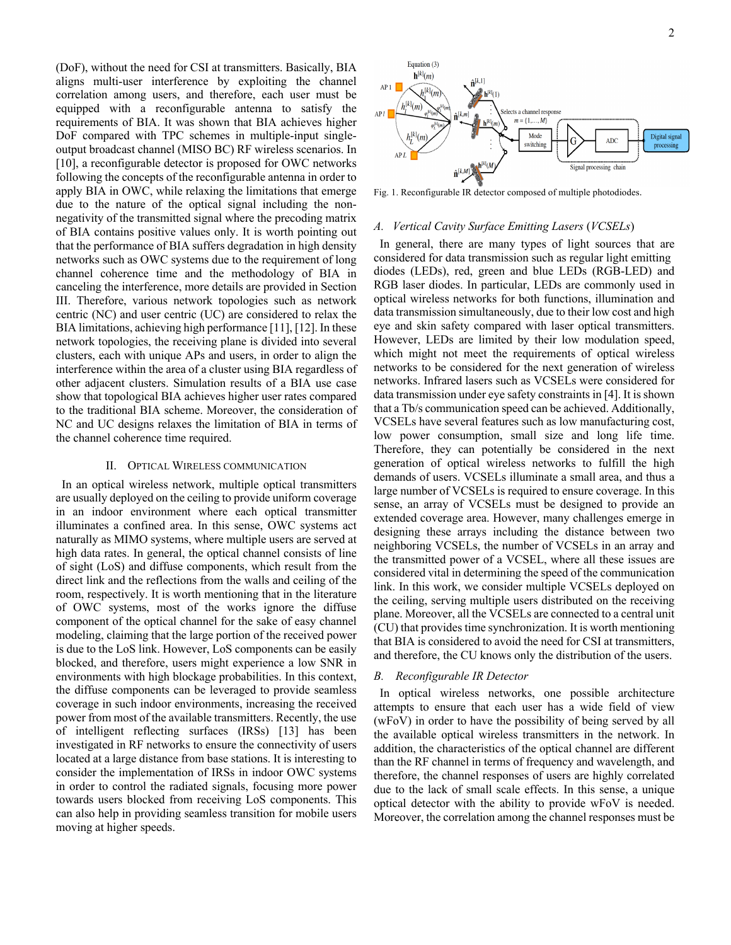(DoF), without the need for CSI at transmitters. Basically, BIA aligns multi-user interference by exploiting the channel correlation among users, and therefore, each user must be equipped with a reconfigurable antenna to satisfy the requirements of BIA. It was shown that BIA achieves higher DoF compared with TPC schemes in multiple-input singleoutput broadcast channel (MISO BC) RF wireless scenarios. In [10], a reconfigurable detector is proposed for OWC networks following the concepts of the reconfigurable antenna in order to apply BIA in OWC, while relaxing the limitations that emerge due to the nature of the optical signal including the nonnegativity of the transmitted signal where the precoding matrix of BIA contains positive values only. It is worth pointing out that the performance of BIA suffers degradation in high density networks such as OWC systems due to the requirement of long channel coherence time and the methodology of BIA in canceling the interference, more details are provided in Section III. Therefore, various network topologies such as network centric (NC) and user centric (UC) are considered to relax the BIA limitations, achieving high performance [11], [12]. In these network topologies, the receiving plane is divided into several clusters, each with unique APs and users, in order to align the interference within the area of a cluster using BIA regardless of other adjacent clusters. Simulation results of a BIA use case show that topological BIA achieves higher user rates compared to the traditional BIA scheme. Moreover, the consideration of NC and UC designs relaxes the limitation of BIA in terms of the channel coherence time required.

#### II. OPTICAL WIRELESS COMMUNICATION

 In an optical wireless network, multiple optical transmitters are usually deployed on the ceiling to provide uniform coverage in an indoor environment where each optical transmitter illuminates a confined area. In this sense, OWC systems act naturally as MIMO systems, where multiple users are served at high data rates. In general, the optical channel consists of line of sight (LoS) and diffuse components, which result from the direct link and the reflections from the walls and ceiling of the room, respectively. It is worth mentioning that in the literature of OWC systems, most of the works ignore the diffuse component of the optical channel for the sake of easy channel modeling, claiming that the large portion of the received power is due to the LoS link. However, LoS components can be easily blocked, and therefore, users might experience a low SNR in environments with high blockage probabilities. In this context, the diffuse components can be leveraged to provide seamless coverage in such indoor environments, increasing the received power from most of the available transmitters. Recently, the use of intelligent reflecting surfaces (IRSs) [13] has been investigated in RF networks to ensure the connectivity of users located at a large distance from base stations. It is interesting to consider the implementation of IRSs in indoor OWC systems in order to control the radiated signals, focusing more power towards users blocked from receiving LoS components. This can also help in providing seamless transition for mobile users moving at higher speeds.



Fig. 1. Reconfigurable IR detector composed of multiple photodiodes.

#### *A. Vertical Cavity Surface Emitting Lasers* (*VCSELs*)

 In general, there are many types of light sources that are considered for data transmission such as regular light emitting diodes (LEDs), red, green and blue LEDs (RGB-LED) and RGB laser diodes. In particular, LEDs are commonly used in optical wireless networks for both functions, illumination and data transmission simultaneously, due to their low cost and high eye and skin safety compared with laser optical transmitters. However, LEDs are limited by their low modulation speed, which might not meet the requirements of optical wireless networks to be considered for the next generation of wireless networks. Infrared lasers such as VCSELs were considered for data transmission under eye safety constraints in [4]. It is shown that a Tb/s communication speed can be achieved. Additionally, VCSELs have several features such as low manufacturing cost, low power consumption, small size and long life time. Therefore, they can potentially be considered in the next generation of optical wireless networks to fulfill the high demands of users. VCSELs illuminate a small area, and thus a large number of VCSELs is required to ensure coverage. In this sense, an array of VCSELs must be designed to provide an extended coverage area. However, many challenges emerge in designing these arrays including the distance between two neighboring VCSELs, the number of VCSELs in an array and the transmitted power of a VCSEL, where all these issues are considered vital in determining the speed of the communication link. In this work, we consider multiple VCSELs deployed on the ceiling, serving multiple users distributed on the receiving plane. Moreover, all the VCSELs are connected to a central unit (CU) that provides time synchronization. It is worth mentioning that BIA is considered to avoid the need for CSI at transmitters, and therefore, the CU knows only the distribution of the users.

#### *B. Reconfigurable IR Detector*

 In optical wireless networks, one possible architecture attempts to ensure that each user has a wide field of view (wFoV) in order to have the possibility of being served by all the available optical wireless transmitters in the network. In addition, the characteristics of the optical channel are different than the RF channel in terms of frequency and wavelength, and therefore, the channel responses of users are highly correlated due to the lack of small scale effects. In this sense, a unique optical detector with the ability to provide wFoV is needed. Moreover, the correlation among the channel responses must be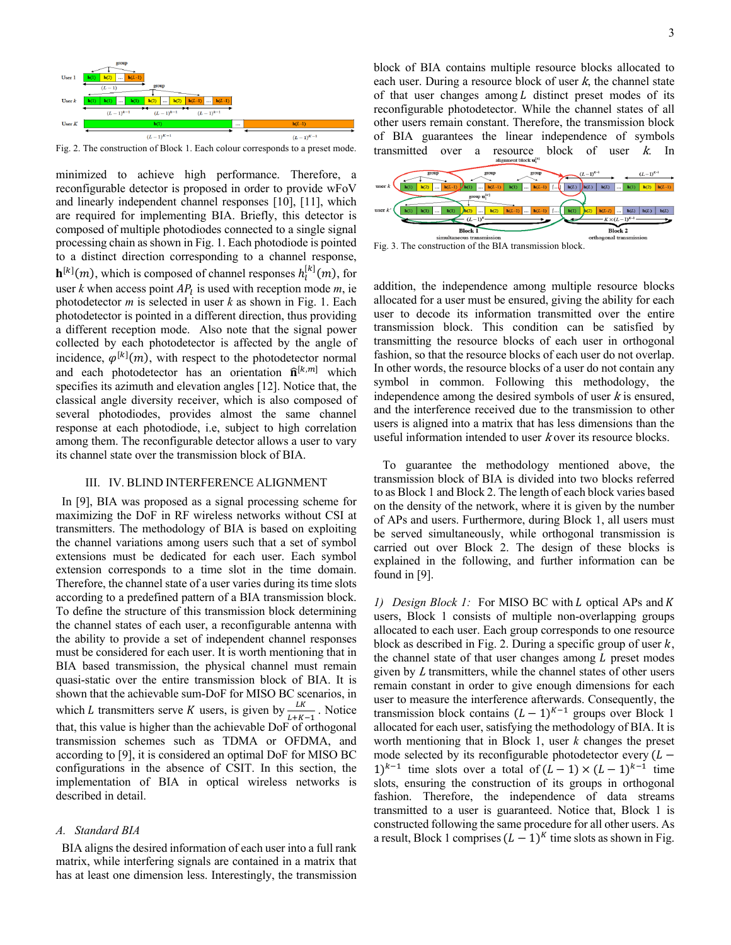

Fig. 2. The construction of Block 1. Each colour corresponds to a preset mode.

minimized to achieve high performance. Therefore, a reconfigurable detector is proposed in order to provide wFoV and linearly independent channel responses [10], [11], which are required for implementing BIA. Briefly, this detector is composed of multiple photodiodes connected to a single signal processing chain as shown in Fig. 1. Each photodiode is pointed to a distinct direction corresponding to a channel response,  $\mathbf{h}^{[k]}(m)$ , which is composed of channel responses  $h_l^{[k]}(m)$ , for user  $k$  when access point  $AP<sub>l</sub>$  is used with reception mode  $m$ , ie photodetector *m* is selected in user *k* as shown in Fig. 1. Each photodetector is pointed in a different direction, thus providing a different reception mode. Also note that the signal power collected by each photodetector is affected by the angle of incidence,  $\varphi^{[k]}(m)$ , with respect to the photodetector normal and each photodetector has an orientation  $\hat{\mathbf{n}}^{[k,m]}$  which specifies its azimuth and elevation angles [12]. Notice that, the classical angle diversity receiver, which is also composed of several photodiodes, provides almost the same channel response at each photodiode, i.e, subject to high correlation among them. The reconfigurable detector allows a user to vary its channel state over the transmission block of BIA.

#### III. IV. BLIND INTERFERENCE ALIGNMENT

 In [9], BIA was proposed as a signal processing scheme for maximizing the DoF in RF wireless networks without CSI at transmitters. The methodology of BIA is based on exploiting the channel variations among users such that a set of symbol extensions must be dedicated for each user. Each symbol extension corresponds to a time slot in the time domain. Therefore, the channel state of a user varies during its time slots according to a predefined pattern of a BIA transmission block. To define the structure of this transmission block determining the channel states of each user, a reconfigurable antenna with the ability to provide a set of independent channel responses must be considered for each user. It is worth mentioning that in BIA based transmission, the physical channel must remain quasi-static over the entire transmission block of BIA. It is shown that the achievable sum-DoF for MISO BC scenarios, in which *L* transmitters serve *K* users, is given by  $\frac{LK}{L+K-1}$ . Notice that, this value is higher than the achievable DoF of orthogonal transmission schemes such as TDMA or OFDMA, and according to [9], it is considered an optimal DoF for MISO BC configurations in the absence of CSIT. In this section, the implementation of BIA in optical wireless networks is described in detail.

#### *A. Standard BIA*

 BIA aligns the desired information of each user into a full rank matrix, while interfering signals are contained in a matrix that has at least one dimension less. Interestingly, the transmission block of BIA contains multiple resource blocks allocated to each user. During a resource block of user <sup>k</sup>, the channel state of that user changes among  $L$  distinct preset modes of its reconfigurable photodetector. While the channel states of all other users remain constant. Therefore, the transmission block of BIA guarantees the linear independence of symbols transmitted over a resource block of user  $k$ . In



Fig. 3. The construction of the BIA transmission block.

addition, the independence among multiple resource blocks allocated for a user must be ensured, giving the ability for each user to decode its information transmitted over the entire transmission block. This condition can be satisfied by transmitting the resource blocks of each user in orthogonal fashion, so that the resource blocks of each user do not overlap. In other words, the resource blocks of a user do not contain any symbol in common. Following this methodology, the independence among the desired symbols of user  $k$  is ensured, and the interference received due to the transmission to other users is aligned into a matrix that has less dimensions than the useful information intended to user *k* over its resource blocks.

 To guarantee the methodology mentioned above, the transmission block of BIA is divided into two blocks referred to as Block 1 and Block 2. The length of each block varies based on the density of the network, where it is given by the number of APs and users. Furthermore, during Block 1, all users must be served simultaneously, while orthogonal transmission is carried out over Block 2. The design of these blocks is explained in the following, and further information can be found in [9].

*1) Design Block 1:* For MISO BC with *L* optical APs and *K* users, Block 1 consists of multiple non-overlapping groups allocated to each user. Each group corresponds to one resource block as described in Fig. 2. During a specific group of user  $k$ , the channel state of that user changes among  $L$  preset modes given by <sup>L</sup> transmitters, while the channel states of other users remain constant in order to give enough dimensions for each user to measure the interference afterwards. Consequently, the transmission block contains  $(L-1)^{K-1}$  groups over Block 1 allocated for each user, satisfying the methodology of BIA. It is worth mentioning that in Block 1, user *k* changes the preset mode selected by its reconfigurable photodetector every  $(L -$ 1)<sup>k-1</sup> time slots over a total of  $(L-1) \times (L-1)^{k-1}$  time slots, ensuring the construction of its groups in orthogonal fashion. Therefore, the independence of data streams transmitted to a user is guaranteed. Notice that, Block 1 is constructed following the same procedure for all other users. As a result, Block 1 comprises  $(L-1)^K$  time slots as shown in Fig.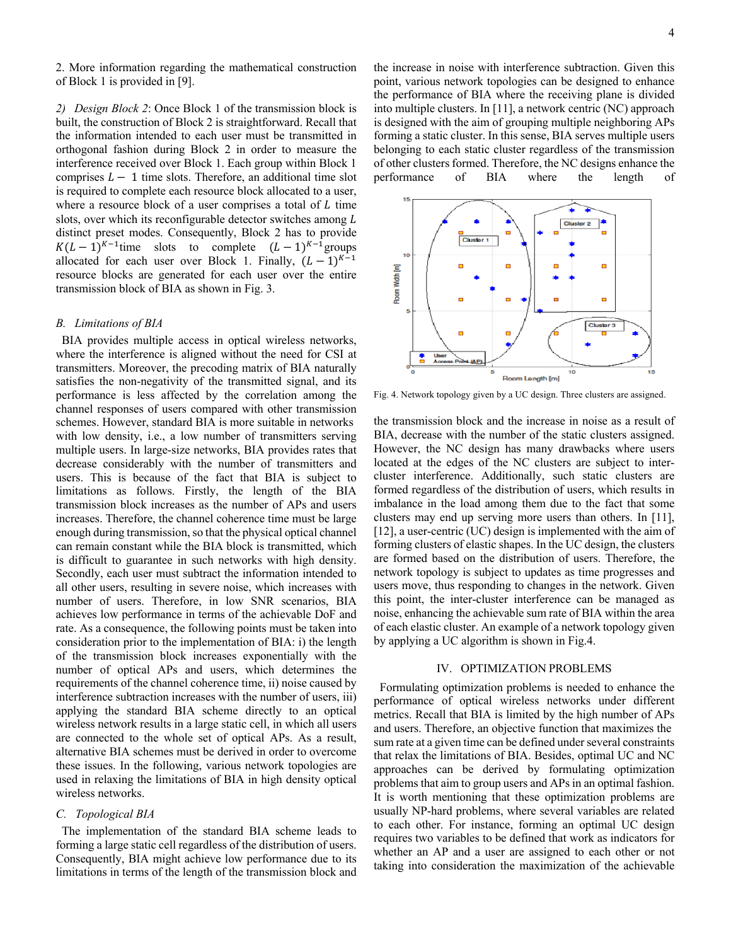2. More information regarding the mathematical construction of Block 1 is provided in [9].

*2) Design Block 2*: Once Block 1 of the transmission block is built, the construction of Block 2 is straightforward. Recall that the information intended to each user must be transmitted in orthogonal fashion during Block 2 in order to measure the interference received over Block 1. Each group within Block 1 comprises  $L - 1$  time slots. Therefore, an additional time slot is required to complete each resource block allocated to a user, where a resource block of a user comprises a total of  $L$  time slots, over which its reconfigurable detector switches among L distinct preset modes. Consequently, Block 2 has to provide  $K(L-1)^{K-1}$ time slots to complete  $(L-1)^{K-1}$ groups allocated for each user over Block 1. Finally,  $(L-1)^{K-1}$ resource blocks are generated for each user over the entire transmission block of BIA as shown in Fig. 3.

#### *B. Limitations of BIA*

 BIA provides multiple access in optical wireless networks, where the interference is aligned without the need for CSI at transmitters. Moreover, the precoding matrix of BIA naturally satisfies the non-negativity of the transmitted signal, and its performance is less affected by the correlation among the channel responses of users compared with other transmission schemes. However, standard BIA is more suitable in networks with low density, i.e., a low number of transmitters serving multiple users. In large-size networks, BIA provides rates that decrease considerably with the number of transmitters and users. This is because of the fact that BIA is subject to limitations as follows. Firstly, the length of the BIA transmission block increases as the number of APs and users increases. Therefore, the channel coherence time must be large enough during transmission, so that the physical optical channel can remain constant while the BIA block is transmitted, which is difficult to guarantee in such networks with high density. Secondly, each user must subtract the information intended to all other users, resulting in severe noise, which increases with number of users. Therefore, in low SNR scenarios, BIA achieves low performance in terms of the achievable DoF and rate. As a consequence, the following points must be taken into consideration prior to the implementation of BIA: i) the length of the transmission block increases exponentially with the number of optical APs and users, which determines the requirements of the channel coherence time, ii) noise caused by interference subtraction increases with the number of users, iii) applying the standard BIA scheme directly to an optical wireless network results in a large static cell, in which all users are connected to the whole set of optical APs. As a result, alternative BIA schemes must be derived in order to overcome these issues. In the following, various network topologies are used in relaxing the limitations of BIA in high density optical wireless networks.

## *C. Topological BIA*

 The implementation of the standard BIA scheme leads to forming a large static cell regardless of the distribution of users. Consequently, BIA might achieve low performance due to its limitations in terms of the length of the transmission block and the increase in noise with interference subtraction. Given this point, various network topologies can be designed to enhance the performance of BIA where the receiving plane is divided into multiple clusters. In [11], a network centric (NC) approach is designed with the aim of grouping multiple neighboring APs forming a static cluster. In this sense, BIA serves multiple users belonging to each static cluster regardless of the transmission of other clusters formed. Therefore, the NC designs enhance the performance of BIA where the length of



Fig. 4. Network topology given by a UC design. Three clusters are assigned.

the transmission block and the increase in noise as a result of BIA, decrease with the number of the static clusters assigned. However, the NC design has many drawbacks where users located at the edges of the NC clusters are subject to intercluster interference. Additionally, such static clusters are formed regardless of the distribution of users, which results in imbalance in the load among them due to the fact that some clusters may end up serving more users than others. In [11], [12], a user-centric (UC) design is implemented with the aim of forming clusters of elastic shapes. In the UC design, the clusters are formed based on the distribution of users. Therefore, the network topology is subject to updates as time progresses and users move, thus responding to changes in the network. Given this point, the inter-cluster interference can be managed as noise, enhancing the achievable sum rate of BIA within the area of each elastic cluster. An example of a network topology given by applying a UC algorithm is shown in Fig.4.

#### IV. OPTIMIZATION PROBLEMS

 Formulating optimization problems is needed to enhance the performance of optical wireless networks under different metrics. Recall that BIA is limited by the high number of APs and users. Therefore, an objective function that maximizes the sum rate at a given time can be defined under several constraints that relax the limitations of BIA. Besides, optimal UC and NC approaches can be derived by formulating optimization problems that aim to group users and APs in an optimal fashion. It is worth mentioning that these optimization problems are usually NP-hard problems, where several variables are related to each other. For instance, forming an optimal UC design requires two variables to be defined that work as indicators for whether an AP and a user are assigned to each other or not taking into consideration the maximization of the achievable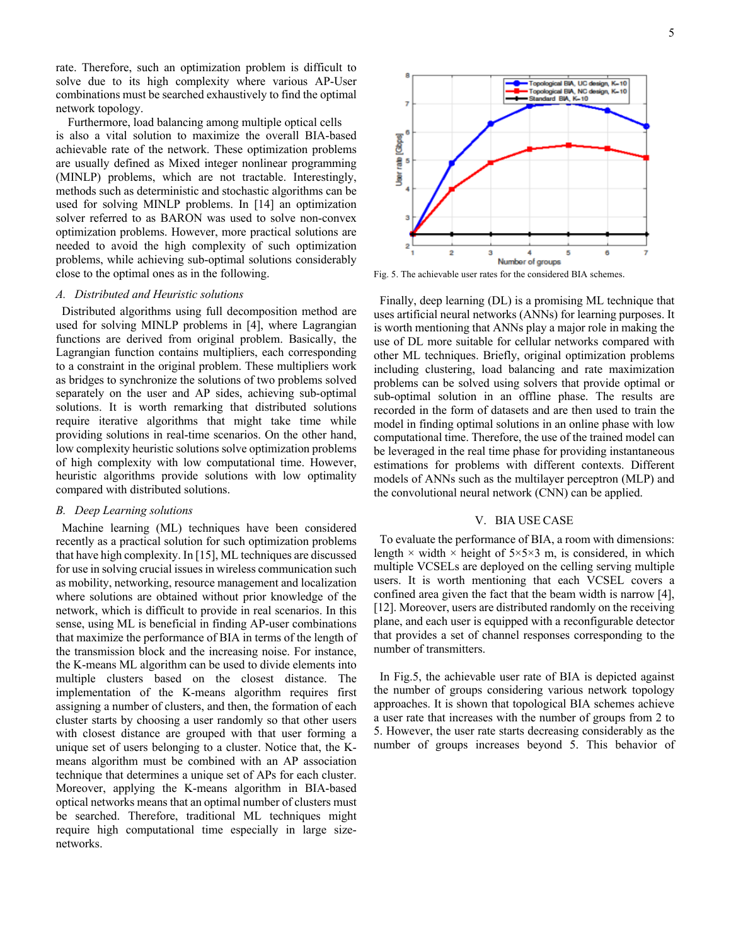rate. Therefore, such an optimization problem is difficult to solve due to its high complexity where various AP-User combinations must be searched exhaustively to find the optimal network topology.

 Furthermore, load balancing among multiple optical cells is also a vital solution to maximize the overall BIA-based achievable rate of the network. These optimization problems are usually defined as Mixed integer nonlinear programming (MINLP) problems, which are not tractable. Interestingly, methods such as deterministic and stochastic algorithms can be used for solving MINLP problems. In [14] an optimization solver referred to as BARON was used to solve non-convex optimization problems. However, more practical solutions are needed to avoid the high complexity of such optimization problems, while achieving sub-optimal solutions considerably close to the optimal ones as in the following.

## *A. Distributed and Heuristic solutions*

 Distributed algorithms using full decomposition method are used for solving MINLP problems in [4], where Lagrangian functions are derived from original problem. Basically, the Lagrangian function contains multipliers, each corresponding to a constraint in the original problem. These multipliers work as bridges to synchronize the solutions of two problems solved separately on the user and AP sides, achieving sub-optimal solutions. It is worth remarking that distributed solutions require iterative algorithms that might take time while providing solutions in real-time scenarios. On the other hand, low complexity heuristic solutions solve optimization problems of high complexity with low computational time. However, heuristic algorithms provide solutions with low optimality compared with distributed solutions.

## *B. Deep Learning solutions*

 Machine learning (ML) techniques have been considered recently as a practical solution for such optimization problems that have high complexity. In [15], ML techniques are discussed for use in solving crucial issues in wireless communication such as mobility, networking, resource management and localization where solutions are obtained without prior knowledge of the network, which is difficult to provide in real scenarios. In this sense, using ML is beneficial in finding AP-user combinations that maximize the performance of BIA in terms of the length of the transmission block and the increasing noise. For instance, the K-means ML algorithm can be used to divide elements into multiple clusters based on the closest distance. The implementation of the K-means algorithm requires first assigning a number of clusters, and then, the formation of each cluster starts by choosing a user randomly so that other users with closest distance are grouped with that user forming a unique set of users belonging to a cluster. Notice that, the Kmeans algorithm must be combined with an AP association technique that determines a unique set of APs for each cluster. Moreover, applying the K-means algorithm in BIA-based optical networks means that an optimal number of clusters must be searched. Therefore, traditional ML techniques might require high computational time especially in large sizenetworks.



Fig. 5. The achievable user rates for the considered BIA schemes.

 Finally, deep learning (DL) is a promising ML technique that uses artificial neural networks (ANNs) for learning purposes. It is worth mentioning that ANNs play a major role in making the use of DL more suitable for cellular networks compared with other ML techniques. Briefly, original optimization problems including clustering, load balancing and rate maximization problems can be solved using solvers that provide optimal or sub-optimal solution in an offline phase. The results are recorded in the form of datasets and are then used to train the model in finding optimal solutions in an online phase with low computational time. Therefore, the use of the trained model can be leveraged in the real time phase for providing instantaneous estimations for problems with different contexts. Different models of ANNs such as the multilayer perceptron (MLP) and the convolutional neural network (CNN) can be applied.

#### V. BIA USE CASE

 To evaluate the performance of BIA, a room with dimensions: length  $\times$  width  $\times$  height of 5×5×3 m, is considered, in which multiple VCSELs are deployed on the celling serving multiple users. It is worth mentioning that each VCSEL covers a confined area given the fact that the beam width is narrow [4], [12]. Moreover, users are distributed randomly on the receiving plane, and each user is equipped with a reconfigurable detector that provides a set of channel responses corresponding to the number of transmitters.

 In Fig.5, the achievable user rate of BIA is depicted against the number of groups considering various network topology approaches. It is shown that topological BIA schemes achieve a user rate that increases with the number of groups from 2 to 5. However, the user rate starts decreasing considerably as the number of groups increases beyond 5. This behavior of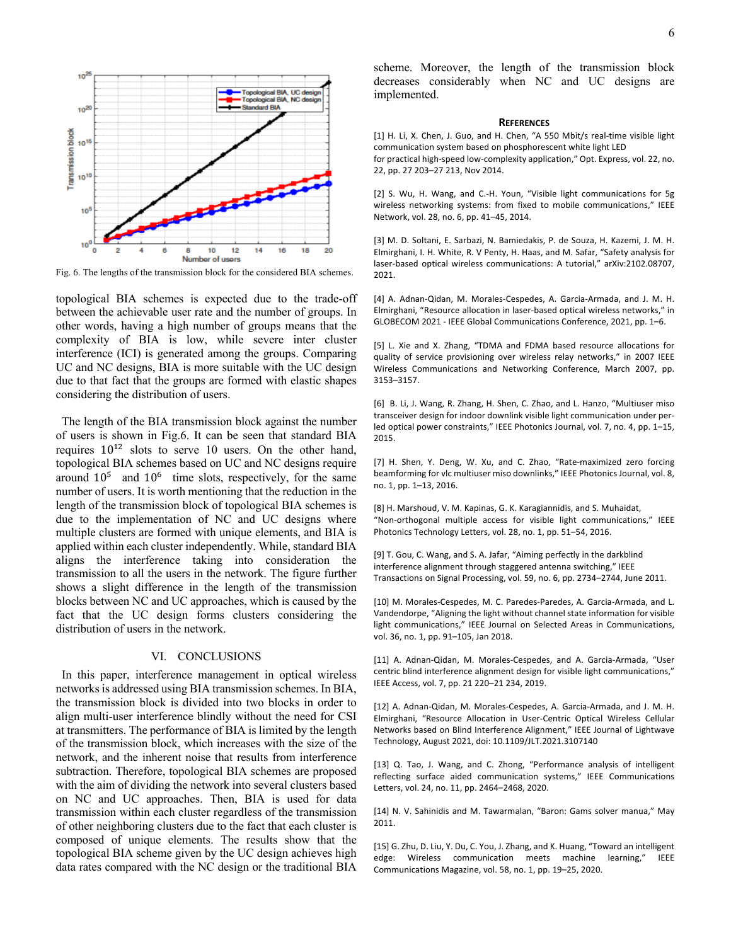

Fig. 6. The lengths of the transmission block for the considered BIA schemes.

topological BIA schemes is expected due to the trade-off between the achievable user rate and the number of groups. In other words, having a high number of groups means that the complexity of BIA is low, while severe inter cluster interference (ICI) is generated among the groups. Comparing UC and NC designs, BIA is more suitable with the UC design due to that fact that the groups are formed with elastic shapes considering the distribution of users.

 The length of the BIA transmission block against the number of users is shown in Fig.6. It can be seen that standard BIA requires  $10^{12}$  slots to serve 10 users. On the other hand, topological BIA schemes based on UC and NC designs require around  $10^5$  and  $10^6$  time slots, respectively, for the same number of users. It is worth mentioning that the reduction in the length of the transmission block of topological BIA schemes is due to the implementation of NC and UC designs where multiple clusters are formed with unique elements, and BIA is applied within each cluster independently. While, standard BIA aligns the interference taking into consideration the transmission to all the users in the network. The figure further shows a slight difference in the length of the transmission blocks between NC and UC approaches, which is caused by the fact that the UC design forms clusters considering the distribution of users in the network.

## VI. CONCLUSIONS

 In this paper, interference management in optical wireless networks is addressed using BIA transmission schemes. In BIA, the transmission block is divided into two blocks in order to align multi-user interference blindly without the need for CSI at transmitters. The performance of BIA is limited by the length of the transmission block, which increases with the size of the network, and the inherent noise that results from interference subtraction. Therefore, topological BIA schemes are proposed with the aim of dividing the network into several clusters based on NC and UC approaches. Then, BIA is used for data transmission within each cluster regardless of the transmission of other neighboring clusters due to the fact that each cluster is composed of unique elements. The results show that the topological BIA scheme given by the UC design achieves high data rates compared with the NC design or the traditional BIA

scheme. Moreover, the length of the transmission block decreases considerably when NC and UC designs are implemented.

#### **REFERENCES**

[1] H. Li, X. Chen, J. Guo, and H. Chen, "A 550 Mbit/s real-time visible light communication system based on phosphorescent white light LED for practical high-speed low-complexity application," Opt. Express, vol. 22, no.

22, pp. 27 203–27 213, Nov 2014.

[2] S. Wu, H. Wang, and C.-H. Youn, "Visible light communications for 5g wireless networking systems: from fixed to mobile communications," IEEE Network, vol. 28, no. 6, pp. 41–45, 2014.

[3] M. D. Soltani, E. Sarbazi, N. Bamiedakis, P. de Souza, H. Kazemi, J. M. H. Elmirghani, I. H. White, R. V Penty, H. Haas, and M. Safar, "Safety analysis for laser-based optical wireless communications: A tutorial," arXiv:2102.08707, 2021.

[4] A. Adnan-Qidan, M. Morales-Cespedes, A. Garcia-Armada, and J. M. H. Elmirghani, "Resource allocation in laser-based optical wireless networks," in GLOBECOM 2021 - IEEE Global Communications Conference, 2021, pp. 1–6.

[5] L. Xie and X. Zhang, "TDMA and FDMA based resource allocations for quality of service provisioning over wireless relay networks," in 2007 IEEE Wireless Communications and Networking Conference, March 2007, pp. 3153–3157.

[6] B. Li, J. Wang, R. Zhang, H. Shen, C. Zhao, and L. Hanzo, "Multiuser miso transceiver design for indoor downlink visible light communication under perled optical power constraints," IEEE Photonics Journal, vol. 7, no. 4, pp. 1–15, 2015.

[7] H. Shen, Y. Deng, W. Xu, and C. Zhao, "Rate-maximized zero forcing beamforming for vlc multiuser miso downlinks," IEEE Photonics Journal, vol. 8, no. 1, pp. 1–13, 2016.

[8] H. Marshoud, V. M. Kapinas, G. K. Karagiannidis, and S. Muhaidat, "Non-orthogonal multiple access for visible light communications," IEEE Photonics Technology Letters, vol. 28, no. 1, pp. 51–54, 2016.

[9] T. Gou, C. Wang, and S. A. Jafar, "Aiming perfectly in the darkblind interference alignment through staggered antenna switching," IEEE Transactions on Signal Processing, vol. 59, no. 6, pp. 2734–2744, June 2011.

[10] M. Morales-Cespedes, M. C. Paredes-Paredes, A. Garcia-Armada, and L. Vandendorpe, "Aligning the light without channel state information for visible light communications," IEEE Journal on Selected Areas in Communications, vol. 36, no. 1, pp. 91–105, Jan 2018.

[11] A. Adnan-Qidan, M. Morales-Cespedes, and A. Garcia-Armada, "User centric blind interference alignment design for visible light communications," IEEE Access, vol. 7, pp. 21 220–21 234, 2019.

[12] A. Adnan-Qidan, M. Morales-Cespedes, A. Garcia-Armada, and J. M. H. Elmirghani, "Resource Allocation in User-Centric Optical Wireless Cellular Networks based on Blind Interference Alignment," IEEE Journal of Lightwave Technology, August 2021, doi: 10.1109/JLT.2021.3107140

[13] Q. Tao, J. Wang, and C. Zhong, "Performance analysis of intelligent reflecting surface aided communication systems," IEEE Communications Letters, vol. 24, no. 11, pp. 2464–2468, 2020.

[14] N. V. Sahinidis and M. Tawarmalan, "Baron: Gams solver manua," May 2011.

[15] G. Zhu, D. Liu, Y. Du, C. You, J. Zhang, and K. Huang, "Toward an intelligent edge: Wireless communication meets machine learning," IEEE Communications Magazine, vol. 58, no. 1, pp. 19–25, 2020.